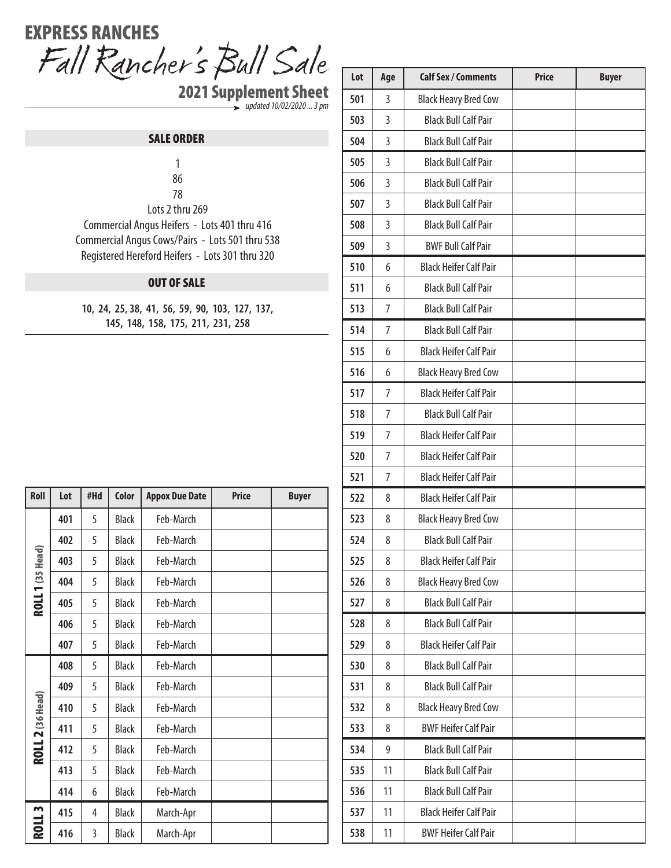## Fall Rancher's Bull Sale EXPRESS RANCHES

2021 Supplement Sheet *updated 10/02/2020 ... 3 pm*

## SALE ORDER

 8

Lots 2 thru 269

Commercial Angus Heifers - Lots 401 thru 416 Commercial Angus Cows/Pairs - Lots 501 thru 538 Registered Hereford Heifers - Lots 301 thru 320

## OUT OF SALE

**10, 24, 25, 38, 41, 56, 59, 90, 103, 127, 137, 145, 148, 158, 175, 211, 231, 258**

| Roll                    | Lot | #Hd | Color        | <b>Appox Due Date</b> | <b>Price</b> | <b>Buyer</b> |
|-------------------------|-----|-----|--------------|-----------------------|--------------|--------------|
| <b>ROLL 1</b> (35 Head) | 401 | 5   | <b>Black</b> | Feb-March             |              |              |
|                         | 402 | 5   | <b>Black</b> | Feb-March             |              |              |
|                         | 403 | 5   | <b>Black</b> | Feb-March             |              |              |
|                         | 404 | 5   | <b>Black</b> | Feb-March             |              |              |
|                         | 405 | 5   | <b>Black</b> | Feb-March             |              |              |
|                         | 406 | 5   | <b>Black</b> | Feb-March             |              |              |
|                         | 407 | 5   | <b>Black</b> | Feb-March             |              |              |
| <b>ROLL 2</b> (36 Head) | 408 | 5   | <b>Black</b> | Feb-March             |              |              |
|                         | 409 | 5   | <b>Black</b> | Feb-March             |              |              |
|                         | 410 | 5   | <b>Black</b> | Feb-March             |              |              |
|                         | 411 | 5   | <b>Black</b> | Feb-March             |              |              |
|                         | 412 | 5   | <b>Black</b> | Feb-March             |              |              |
|                         | 413 | 5   | <b>Black</b> | Feb-March             |              |              |
|                         | 414 | 6   | <b>Black</b> | Feb-March             |              |              |
| <b>ROLL3</b>            | 415 | 4   | <b>Black</b> | March-Apr             |              |              |
|                         | 416 | 3   | <b>Black</b> | March-Apr             |              |              |

| Lot | Age            | <b>Calf Sex / Comments</b>    | <b>Price</b> | <b>Buyer</b> |
|-----|----------------|-------------------------------|--------------|--------------|
| 501 | 3              | <b>Black Heavy Bred Cow</b>   |              |              |
| 503 | 3              | <b>Black Bull Calf Pair</b>   |              |              |
| 504 | 3              | <b>Black Bull Calf Pair</b>   |              |              |
| 505 | $\overline{3}$ | <b>Black Bull Calf Pair</b>   |              |              |
| 506 | $\overline{3}$ | <b>Black Bull Calf Pair</b>   |              |              |
| 507 | 3              | <b>Black Bull Calf Pair</b>   |              |              |
| 508 | 3              | <b>Black Bull Calf Pair</b>   |              |              |
| 509 | 3              | <b>BWF Bull Calf Pair</b>     |              |              |
| 510 | 6              | <b>Black Heifer Calf Pair</b> |              |              |
| 511 | 6              | <b>Black Bull Calf Pair</b>   |              |              |
| 513 | 7              | <b>Black Bull Calf Pair</b>   |              |              |
| 514 | 7              | <b>Black Bull Calf Pair</b>   |              |              |
| 515 | 6              | <b>Black Heifer Calf Pair</b> |              |              |
| 516 | 6              | <b>Black Heavy Bred Cow</b>   |              |              |
| 517 | 7              | <b>Black Heifer Calf Pair</b> |              |              |
| 518 | 7              | <b>Black Bull Calf Pair</b>   |              |              |
| 519 | 7              | <b>Black Heifer Calf Pair</b> |              |              |
| 520 | 7              | <b>Black Heifer Calf Pair</b> |              |              |
| 521 | 7              | <b>Black Heifer Calf Pair</b> |              |              |
| 522 | 8              | <b>Black Heifer Calf Pair</b> |              |              |
| 523 | 8              | <b>Black Heavy Bred Cow</b>   |              |              |
| 524 | 8              | <b>Black Bull Calf Pair</b>   |              |              |
| 525 | 8              | <b>Black Heifer Calf Pair</b> |              |              |
| 526 | 8              | <b>Black Heavy Bred Cow</b>   |              |              |
| 527 | 8              | <b>Black Bull Calf Pair</b>   |              |              |
| 528 | 8              | <b>Black Bull Calf Pair</b>   |              |              |
| 529 | 8              | <b>Black Heifer Calf Pair</b> |              |              |
| 530 | 8              | <b>Black Bull Calf Pair</b>   |              |              |
| 531 | 8              | <b>Black Bull Calf Pair</b>   |              |              |
| 532 | 8              | <b>Black Heavy Bred Cow</b>   |              |              |
| 533 | 8              | <b>BWF Heifer Calf Pair</b>   |              |              |
| 534 | 9              | <b>Black Bull Calf Pair</b>   |              |              |
| 535 | 11             | <b>Black Bull Calf Pair</b>   |              |              |
| 536 | 11             | <b>Black Bull Calf Pair</b>   |              |              |
| 537 | 11             | <b>Black Heifer Calf Pair</b> |              |              |
| 538 | 11             | <b>BWF Heifer Calf Pair</b>   |              |              |